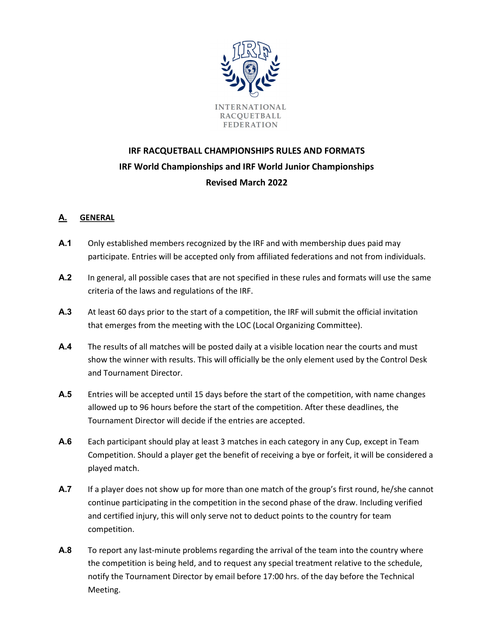

# IRF RACQUETBALL CHAMPIONSHIPS RULES AND FORMATS IRF World Championships and IRF World Junior Championships Revised March 2022

# A. GENERAL

- A.1 Only established members recognized by the IRF and with membership dues paid may participate. Entries will be accepted only from affiliated federations and not from individuals.
- A.2 In general, all possible cases that are not specified in these rules and formats will use the same criteria of the laws and regulations of the IRF.
- A.3 At least 60 days prior to the start of a competition, the IRF will submit the official invitation that emerges from the meeting with the LOC (Local Organizing Committee).
- A.4 The results of all matches will be posted daily at a visible location near the courts and must show the winner with results. This will officially be the only element used by the Control Desk and Tournament Director.
- A.5 Entries will be accepted until 15 days before the start of the competition, with name changes allowed up to 96 hours before the start of the competition. After these deadlines, the Tournament Director will decide if the entries are accepted.
- A.6 Each participant should play at least 3 matches in each category in any Cup, except in Team Competition. Should a player get the benefit of receiving a bye or forfeit, it will be considered a played match.
- A.7 If a player does not show up for more than one match of the group's first round, he/she cannot continue participating in the competition in the second phase of the draw. Including verified and certified injury, this will only serve not to deduct points to the country for team competition.
- A.8 To report any last-minute problems regarding the arrival of the team into the country where the competition is being held, and to request any special treatment relative to the schedule, notify the Tournament Director by email before 17:00 hrs. of the day before the Technical Meeting.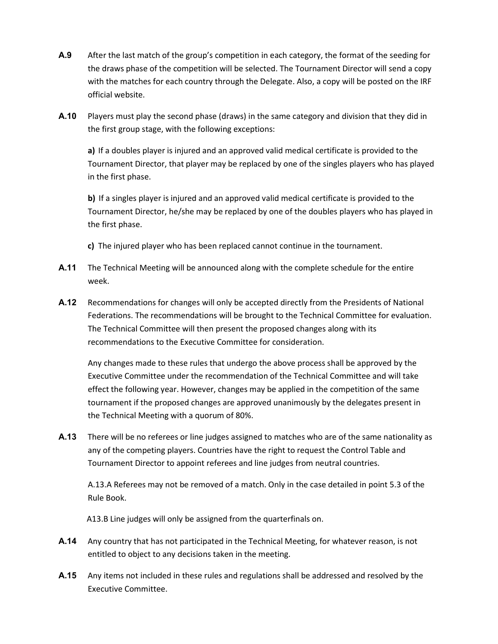- A.9 After the last match of the group's competition in each category, the format of the seeding for the draws phase of the competition will be selected. The Tournament Director will send a copy with the matches for each country through the Delegate. Also, a copy will be posted on the IRF official website.
- A.10 Players must play the second phase (draws) in the same category and division that they did in the first group stage, with the following exceptions:

a) If a doubles player is injured and an approved valid medical certificate is provided to the Tournament Director, that player may be replaced by one of the singles players who has played in the first phase.

b) If a singles player is injured and an approved valid medical certificate is provided to the Tournament Director, he/she may be replaced by one of the doubles players who has played in the first phase.

- c) The injured player who has been replaced cannot continue in the tournament.
- A.11 The Technical Meeting will be announced along with the complete schedule for the entire week.
- **A.12** Recommendations for changes will only be accepted directly from the Presidents of National Federations. The recommendations will be brought to the Technical Committee for evaluation. The Technical Committee will then present the proposed changes along with its recommendations to the Executive Committee for consideration.

Any changes made to these rules that undergo the above process shall be approved by the Executive Committee under the recommendation of the Technical Committee and will take effect the following year. However, changes may be applied in the competition of the same tournament if the proposed changes are approved unanimously by the delegates present in the Technical Meeting with a quorum of 80%.

A.13 There will be no referees or line judges assigned to matches who are of the same nationality as any of the competing players. Countries have the right to request the Control Table and Tournament Director to appoint referees and line judges from neutral countries.

A.13.A Referees may not be removed of a match. Only in the case detailed in point 5.3 of the Rule Book.

A13.B Line judges will only be assigned from the quarterfinals on.

- A.14 Any country that has not participated in the Technical Meeting, for whatever reason, is not entitled to object to any decisions taken in the meeting.
- A.15 Any items not included in these rules and regulations shall be addressed and resolved by the Executive Committee.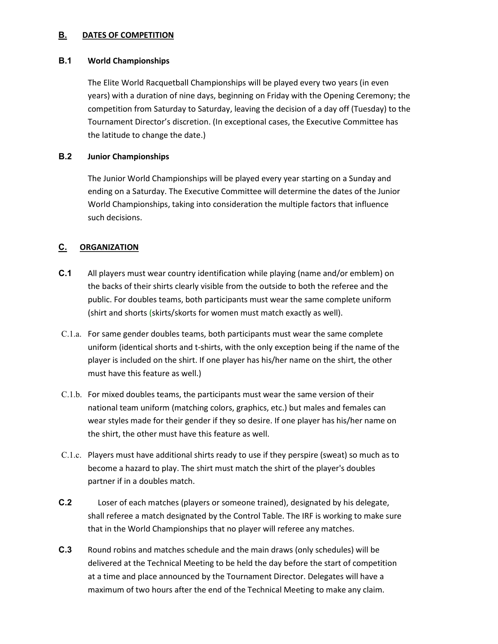## **B. DATES OF COMPETITION**

## B.1 World Championships

The Elite World Racquetball Championships will be played every two years (in even years) with a duration of nine days, beginning on Friday with the Opening Ceremony; the competition from Saturday to Saturday, leaving the decision of a day off (Tuesday) to the Tournament Director's discretion. (In exceptional cases, the Executive Committee has the latitude to change the date.)

## B.2 Junior Championships

The Junior World Championships will be played every year starting on a Sunday and ending on a Saturday. The Executive Committee will determine the dates of the Junior World Championships, taking into consideration the multiple factors that influence such decisions.

# C. ORGANIZATION

- C.1 All players must wear country identification while playing (name and/or emblem) on the backs of their shirts clearly visible from the outside to both the referee and the public. For doubles teams, both participants must wear the same complete uniform (shirt and shorts (skirts/skorts for women must match exactly as well).
- C.1.a. For same gender doubles teams, both participants must wear the same complete uniform (identical shorts and t-shirts, with the only exception being if the name of the player is included on the shirt. If one player has his/her name on the shirt, the other must have this feature as well.)
- C.1.b. For mixed doubles teams, the participants must wear the same version of their national team uniform (matching colors, graphics, etc.) but males and females can wear styles made for their gender if they so desire. If one player has his/her name on the shirt, the other must have this feature as well.
- C.1.c. Players must have additional shirts ready to use if they perspire (sweat) so much as to become a hazard to play. The shirt must match the shirt of the player's doubles partner if in a doubles match.
- C.2 Loser of each matches (players or someone trained), designated by his delegate, shall referee a match designated by the Control Table. The IRF is working to make sure that in the World Championships that no player will referee any matches.
- C.3 Round robins and matches schedule and the main draws (only schedules) will be delivered at the Technical Meeting to be held the day before the start of competition at a time and place announced by the Tournament Director. Delegates will have a maximum of two hours after the end of the Technical Meeting to make any claim.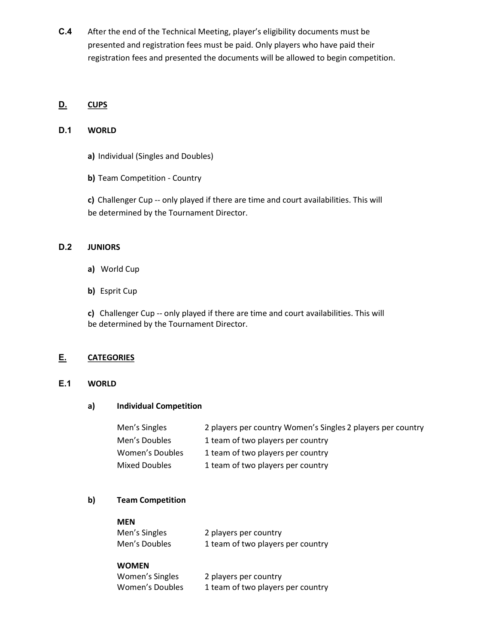C.4 After the end of the Technical Meeting, player's eligibility documents must be presented and registration fees must be paid. Only players who have paid their registration fees and presented the documents will be allowed to begin competition.

## D. CUPS

## D.1 WORLD

- a) Individual (Singles and Doubles)
- b) Team Competition Country

c) Challenger Cup -- only played if there are time and court availabilities. This will be determined by the Tournament Director.

## D.2 JUNIORS

- a) World Cup
- b) Esprit Cup

c) Challenger Cup -- only played if there are time and court availabilities. This will be determined by the Tournament Director.

## E. CATEGORIES

#### E.1 WORLD

#### a) Individual Competition

| Men's Singles   | 2 players per country Women's Singles 2 players per country |
|-----------------|-------------------------------------------------------------|
| Men's Doubles   | 1 team of two players per country                           |
| Women's Doubles | 1 team of two players per country                           |
| Mixed Doubles   | 1 team of two players per country                           |

## b) Team Competition

| Men's Singles | 2 players per country             |
|---------------|-----------------------------------|
| Men's Doubles | 1 team of two players per country |

#### WOMEN

| Women's Singles | 2 players per country             |
|-----------------|-----------------------------------|
| Women's Doubles | 1 team of two players per country |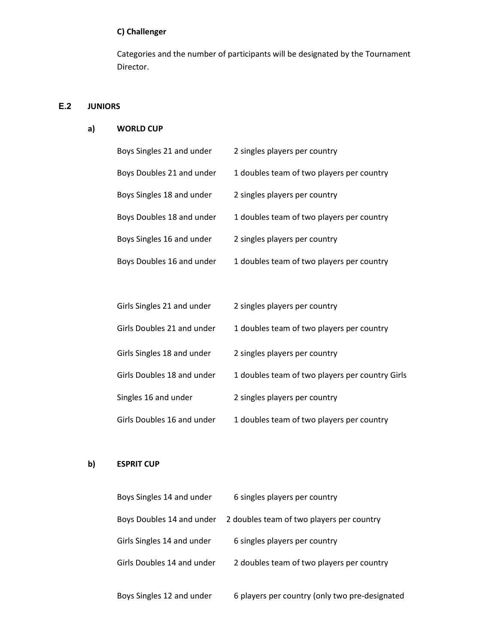# C) Challenger

Categories and the number of participants will be designated by the Tournament Director.

## E.2 JUNIORS

#### a) WORLD CUP

| Boys Singles 21 and under  | 2 singles players per country             |
|----------------------------|-------------------------------------------|
| Boys Doubles 21 and under  | 1 doubles team of two players per country |
| Boys Singles 18 and under  | 2 singles players per country             |
| Boys Doubles 18 and under  | 1 doubles team of two players per country |
| Boys Singles 16 and under  | 2 singles players per country             |
| Boys Doubles 16 and under  | 1 doubles team of two players per country |
|                            |                                           |
| Girls Singles 21 and under | 2 singles players per country             |
| Girls Doubles 21 and under | 1 doubles team of two players per country |
| Girls Singles 18 and under | 2 singles players per country             |

| Girls Doubles 18 and under | 1 doubles team of two players per country Girls |
|----------------------------|-------------------------------------------------|
|----------------------------|-------------------------------------------------|

Singles 16 and under 2 singles players per country

Girls Doubles 16 and under 1 doubles team of two players per country

# b) ESPRIT CUP

| Boys Singles 14 and under  | 6 singles players per country                  |
|----------------------------|------------------------------------------------|
| Boys Doubles 14 and under  | 2 doubles team of two players per country      |
| Girls Singles 14 and under | 6 singles players per country                  |
| Girls Doubles 14 and under | 2 doubles team of two players per country      |
| Boys Singles 12 and under  | 6 players per country (only two pre-designated |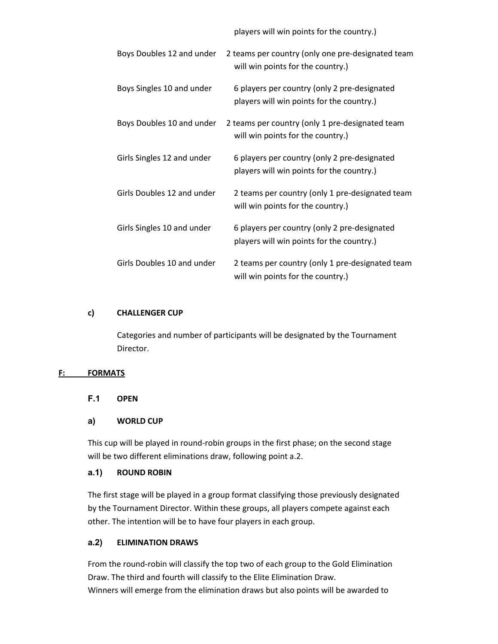players will win points for the country.)

| Boys Doubles 12 and under  | 2 teams per country (only one pre-designated team<br>will win points for the country.)    |
|----------------------------|-------------------------------------------------------------------------------------------|
| Boys Singles 10 and under  | 6 players per country (only 2 pre-designated<br>players will win points for the country.) |
| Boys Doubles 10 and under  | 2 teams per country (only 1 pre-designated team<br>will win points for the country.)      |
| Girls Singles 12 and under | 6 players per country (only 2 pre-designated<br>players will win points for the country.) |
| Girls Doubles 12 and under | 2 teams per country (only 1 pre-designated team<br>will win points for the country.)      |
| Girls Singles 10 and under | 6 players per country (only 2 pre-designated<br>players will win points for the country.) |
| Girls Doubles 10 and under | 2 teams per country (only 1 pre-designated team<br>will win points for the country.)      |

#### c) CHALLENGER CUP

Categories and number of participants will be designated by the Tournament Director.

#### F: FORMATS

F.1 OPEN

#### a) WORLD CUP

This cup will be played in round-robin groups in the first phase; on the second stage will be two different eliminations draw, following point a.2.

#### a.1) ROUND ROBIN

The first stage will be played in a group format classifying those previously designated by the Tournament Director. Within these groups, all players compete against each other. The intention will be to have four players in each group.

#### a.2) ELIMINATION DRAWS

From the round-robin will classify the top two of each group to the Gold Elimination Draw. The third and fourth will classify to the Elite Elimination Draw. Winners will emerge from the elimination draws but also points will be awarded to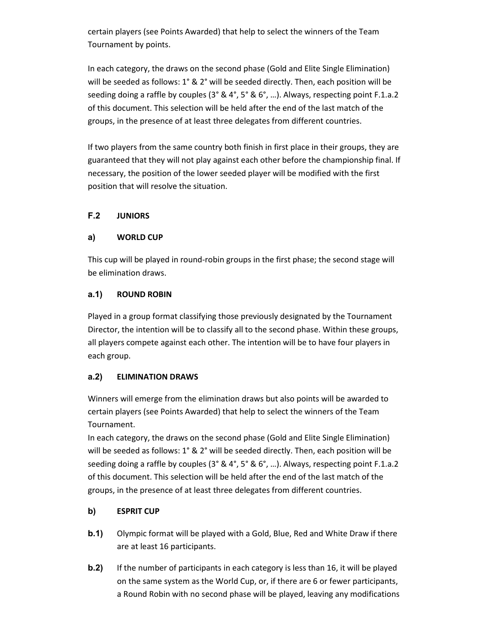certain players (see Points Awarded) that help to select the winners of the Team Tournament by points.

In each category, the draws on the second phase (Gold and Elite Single Elimination) will be seeded as follows: 1° & 2° will be seeded directly. Then, each position will be seeding doing a raffle by couples (3° & 4°, 5° & 6°, ...). Always, respecting point F.1.a.2 of this document. This selection will be held after the end of the last match of the groups, in the presence of at least three delegates from different countries.

If two players from the same country both finish in first place in their groups, they are guaranteed that they will not play against each other before the championship final. If necessary, the position of the lower seeded player will be modified with the first position that will resolve the situation.

# F.2 JUNIORS

## a) WORLD CUP

This cup will be played in round-robin groups in the first phase; the second stage will be elimination draws.

## a.1) ROUND ROBIN

Played in a group format classifying those previously designated by the Tournament Director, the intention will be to classify all to the second phase. Within these groups, all players compete against each other. The intention will be to have four players in each group.

## a.2) ELIMINATION DRAWS

Winners will emerge from the elimination draws but also points will be awarded to certain players (see Points Awarded) that help to select the winners of the Team Tournament.

In each category, the draws on the second phase (Gold and Elite Single Elimination) will be seeded as follows: 1° & 2° will be seeded directly. Then, each position will be seeding doing a raffle by couples (3° & 4°, 5° & 6°, …). Always, respecting point F.1.a.2 of this document. This selection will be held after the end of the last match of the groups, in the presence of at least three delegates from different countries.

# b) ESPRIT CUP

- b.1) Olympic format will be played with a Gold, Blue, Red and White Draw if there are at least 16 participants.
- **b.2)** If the number of participants in each category is less than 16, it will be played on the same system as the World Cup, or, if there are 6 or fewer participants, a Round Robin with no second phase will be played, leaving any modifications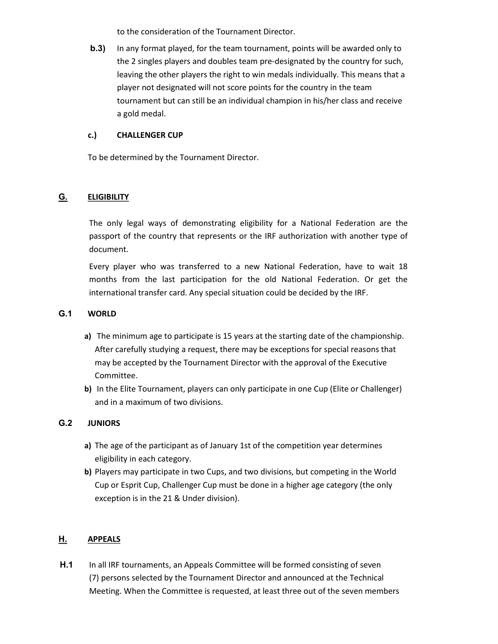to the consideration of the Tournament Director.

b.3) In any format played, for the team tournament, points will be awarded only to the 2 singles players and doubles team pre-designated by the country for such, leaving the other players the right to win medals individually. This means that a player not designated will not score points for the country in the team tournament but can still be an individual champion in his/her class and receive a gold medal.

## c.) CHALLENGER CUP

To be determined by the Tournament Director.

# G. **ELIGIBILITY**

The only legal ways of demonstrating eligibility for a National Federation are the passport of the country that represents or the IRF authorization with another type of document.

Every player who was transferred to a new National Federation, have to wait 18 months from the last participation for the old National Federation. Or get the international transfer card. Any special situation could be decided by the IRF.

## G.1 WORLD

- a) The minimum age to participate is 15 years at the starting date of the championship. After carefully studying a request, there may be exceptions for special reasons that may be accepted by the Tournament Director with the approval of the Executive Committee.
- b) In the Elite Tournament, players can only participate in one Cup (Elite or Challenger) and in a maximum of two divisions.

# G.2 JUNIORS

- a) The age of the participant as of January 1st of the competition year determines eligibility in each category.
- b) Players may participate in two Cups, and two divisions, but competing in the World Cup or Esprit Cup, Challenger Cup must be done in a higher age category (the only exception is in the 21 & Under division).

# H. APPEALS

H.1 In all IRF tournaments, an Appeals Committee will be formed consisting of seven (7) persons selected by the Tournament Director and announced at the Technical Meeting. When the Committee is requested, at least three out of the seven members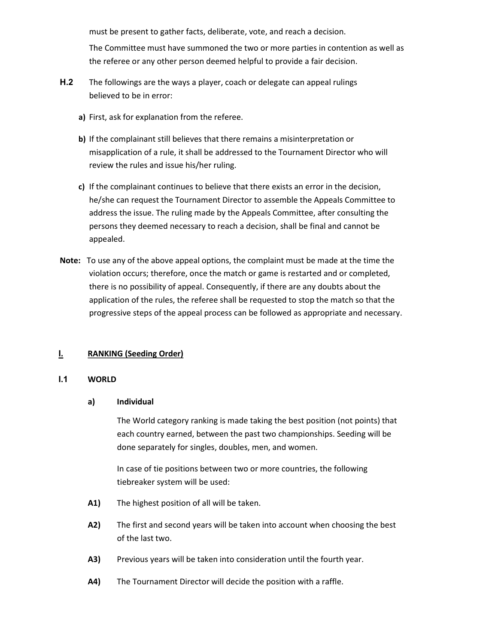must be present to gather facts, deliberate, vote, and reach a decision.

The Committee must have summoned the two or more parties in contention as well as the referee or any other person deemed helpful to provide a fair decision.

- H.2 The followings are the ways a player, coach or delegate can appeal rulings believed to be in error:
	- a) First, ask for explanation from the referee.
	- b) If the complainant still believes that there remains a misinterpretation or misapplication of a rule, it shall be addressed to the Tournament Director who will review the rules and issue his/her ruling.
	- c) If the complainant continues to believe that there exists an error in the decision, he/she can request the Tournament Director to assemble the Appeals Committee to address the issue. The ruling made by the Appeals Committee, after consulting the persons they deemed necessary to reach a decision, shall be final and cannot be appealed.
- Note: To use any of the above appeal options, the complaint must be made at the time the violation occurs; therefore, once the match or game is restarted and or completed, there is no possibility of appeal. Consequently, if there are any doubts about the application of the rules, the referee shall be requested to stop the match so that the progressive steps of the appeal process can be followed as appropriate and necessary.

# **I.** RANKING (Seeding Order)

#### I.1 WORLD

#### a) Individual

The World category ranking is made taking the best position (not points) that each country earned, between the past two championships. Seeding will be done separately for singles, doubles, men, and women.

In case of tie positions between two or more countries, the following tiebreaker system will be used:

- A1) The highest position of all will be taken.
- A2) The first and second years will be taken into account when choosing the best of the last two.
- A3) Previous years will be taken into consideration until the fourth year.
- A4) The Tournament Director will decide the position with a raffle.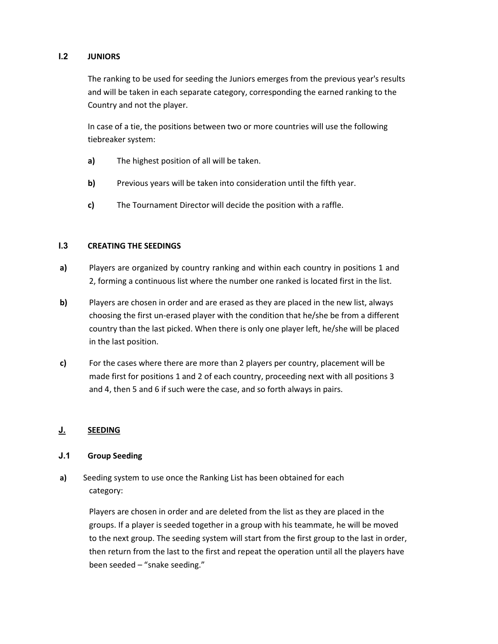## I.2 JUNIORS

The ranking to be used for seeding the Juniors emerges from the previous year's results and will be taken in each separate category, corresponding the earned ranking to the Country and not the player.

In case of a tie, the positions between two or more countries will use the following tiebreaker system:

- a) The highest position of all will be taken.
- b) Previous years will be taken into consideration until the fifth year.
- c) The Tournament Director will decide the position with a raffle.

## I.3 CREATING THE SEEDINGS

- a) Players are organized by country ranking and within each country in positions 1 and 2, forming a continuous list where the number one ranked is located first in the list.
- b) Players are chosen in order and are erased as they are placed in the new list, always choosing the first un-erased player with the condition that he/she be from a different country than the last picked. When there is only one player left, he/she will be placed in the last position.
- c) For the cases where there are more than 2 players per country, placement will be made first for positions 1 and 2 of each country, proceeding next with all positions 3 and 4, then 5 and 6 if such were the case, and so forth always in pairs.

## J. SEEDING

## J.1 Group Seeding

a) Seeding system to use once the Ranking List has been obtained for each category:

> Players are chosen in order and are deleted from the list as they are placed in the groups. If a player is seeded together in a group with his teammate, he will be moved to the next group. The seeding system will start from the first group to the last in order, then return from the last to the first and repeat the operation until all the players have been seeded – "snake seeding."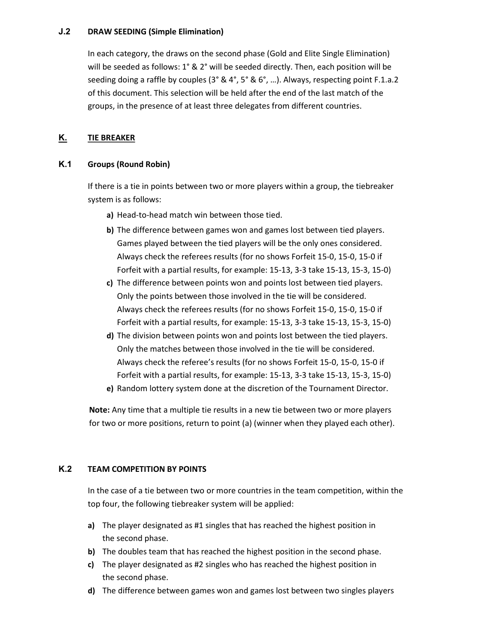#### J.2 DRAW SEEDING (Simple Elimination)

In each category, the draws on the second phase (Gold and Elite Single Elimination) will be seeded as follows: 1° & 2° will be seeded directly. Then, each position will be seeding doing a raffle by couples (3° & 4°, 5° & 6°, ...). Always, respecting point F.1.a.2 of this document. This selection will be held after the end of the last match of the groups, in the presence of at least three delegates from different countries.

## K. TIE BREAKER

## K.1 Groups (Round Robin)

If there is a tie in points between two or more players within a group, the tiebreaker system is as follows:

- a) Head-to-head match win between those tied.
- b) The difference between games won and games lost between tied players. Games played between the tied players will be the only ones considered. Always check the referees results (for no shows Forfeit 15-0, 15-0, 15-0 if Forfeit with a partial results, for example: 15-13, 3-3 take 15-13, 15-3, 15-0)
- c) The difference between points won and points lost between tied players. Only the points between those involved in the tie will be considered. Always check the referees results (for no shows Forfeit 15-0, 15-0, 15-0 if Forfeit with a partial results, for example: 15-13, 3-3 take 15-13, 15-3, 15-0)
- d) The division between points won and points lost between the tied players. Only the matches between those involved in the tie will be considered. Always check the referee's results (for no shows Forfeit 15-0, 15-0, 15-0 if Forfeit with a partial results, for example: 15-13, 3-3 take 15-13, 15-3, 15-0)
- e) Random lottery system done at the discretion of the Tournament Director.

Note: Any time that a multiple tie results in a new tie between two or more players for two or more positions, return to point (a) (winner when they played each other).

## K.2 TEAM COMPETITION BY POINTS

In the case of a tie between two or more countries in the team competition, within the top four, the following tiebreaker system will be applied:

- a) The player designated as #1 singles that has reached the highest position in the second phase.
- b) The doubles team that has reached the highest position in the second phase.
- c) The player designated as #2 singles who has reached the highest position in the second phase.
- d) The difference between games won and games lost between two singles players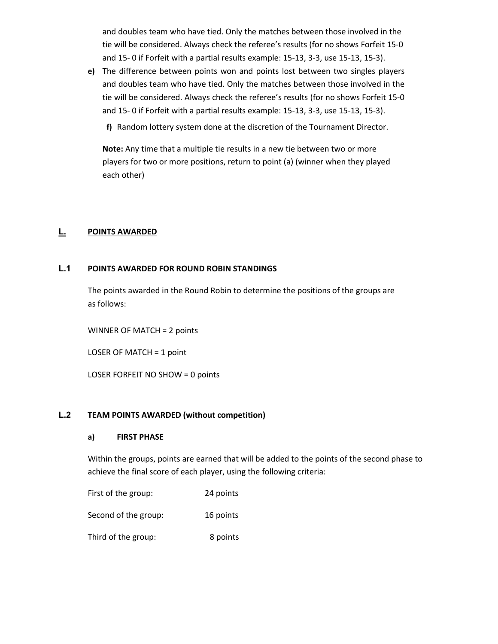and doubles team who have tied. Only the matches between those involved in the tie will be considered. Always check the referee's results (for no shows Forfeit 15-0 and 15- 0 if Forfeit with a partial results example: 15-13, 3-3, use 15-13, 15-3).

e) The difference between points won and points lost between two singles players and doubles team who have tied. Only the matches between those involved in the tie will be considered. Always check the referee's results (for no shows Forfeit 15-0 and 15- 0 if Forfeit with a partial results example: 15-13, 3-3, use 15-13, 15-3).

f) Random lottery system done at the discretion of the Tournament Director.

Note: Any time that a multiple tie results in a new tie between two or more players for two or more positions, return to point (a) (winner when they played each other)

## L. POINTS AWARDED

## L.1 POINTS AWARDED FOR ROUND ROBIN STANDINGS

The points awarded in the Round Robin to determine the positions of the groups are as follows:

WINNER OF MATCH = 2 points

LOSER OF MATCH = 1 point

LOSER FORFEIT NO SHOW = 0 points

## L.2 TEAM POINTS AWARDED (without competition)

## a) FIRST PHASE

Within the groups, points are earned that will be added to the points of the second phase to achieve the final score of each player, using the following criteria:

First of the group: 24 points

Second of the group: 16 points

Third of the group: 8 points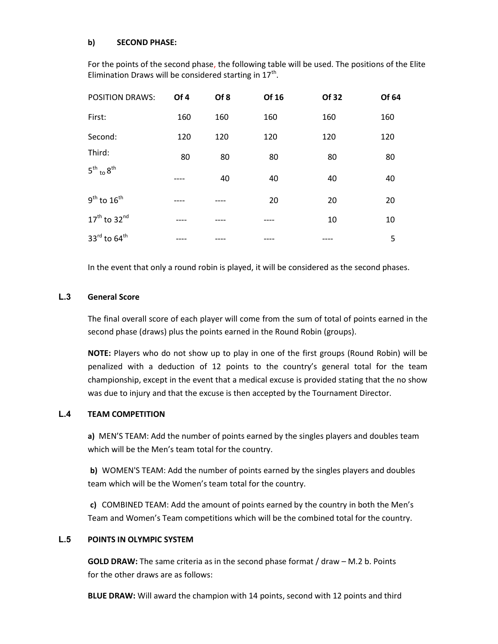#### b) SECOND PHASE:

For the points of the second phase, the following table will be used. The positions of the Elite Elimination Draws will be considered starting in  $17^{\text{th}}$ .

| <b>POSITION DRAWS:</b>                | Of 4 | Of 8 | Of 16 | Of 32 | Of 64 |
|---------------------------------------|------|------|-------|-------|-------|
| First:                                | 160  | 160  | 160   | 160   | 160   |
| Second:                               | 120  | 120  | 120   | 120   | 120   |
| Third:<br>$5^{th}$ to $8^{th}$        | 80   | 80   | 80    | 80    | 80    |
|                                       |      | 40   | 40    | 40    | 40    |
| $9^{\text{th}}$ to $16^{\text{th}}$   |      |      | 20    | 20    | 20    |
| $17th$ to $32nd$                      |      |      |       | 10    | 10    |
| 33 $^{\text{rd}}$ to 64 <sup>th</sup> |      |      |       |       | 5     |

In the event that only a round robin is played, it will be considered as the second phases.

## L.3 General Score

The final overall score of each player will come from the sum of total of points earned in the second phase (draws) plus the points earned in the Round Robin (groups).

NOTE: Players who do not show up to play in one of the first groups (Round Robin) will be penalized with a deduction of 12 points to the country's general total for the team championship, except in the event that a medical excuse is provided stating that the no show was due to injury and that the excuse is then accepted by the Tournament Director.

## L.4 TEAM COMPETITION

a) MEN'S TEAM: Add the number of points earned by the singles players and doubles team which will be the Men's team total for the country.

b) WOMEN'S TEAM: Add the number of points earned by the singles players and doubles team which will be the Women's team total for the country.

c) COMBINED TEAM: Add the amount of points earned by the country in both the Men's Team and Women's Team competitions which will be the combined total for the country.

## L.5 POINTS IN OLYMPIC SYSTEM

GOLD DRAW: The same criteria as in the second phase format / draw – M.2 b. Points for the other draws are as follows:

BLUE DRAW: Will award the champion with 14 points, second with 12 points and third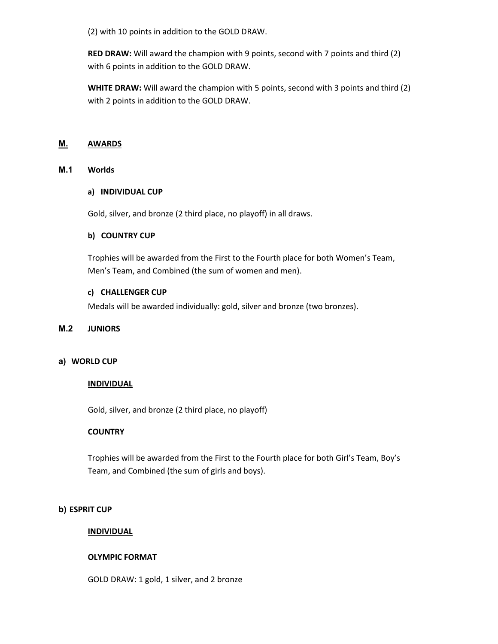(2) with 10 points in addition to the GOLD DRAW.

RED DRAW: Will award the champion with 9 points, second with 7 points and third (2) with 6 points in addition to the GOLD DRAW.

WHITE DRAW: Will award the champion with 5 points, second with 3 points and third (2) with 2 points in addition to the GOLD DRAW.

## M. AWARDS

#### M.1 Worlds

#### a) INDIVIDUAL CUP

Gold, silver, and bronze (2 third place, no playoff) in all draws.

#### b) COUNTRY CUP

Trophies will be awarded from the First to the Fourth place for both Women's Team, Men's Team, and Combined (the sum of women and men).

#### c) CHALLENGER CUP

Medals will be awarded individually: gold, silver and bronze (two bronzes).

#### M.2 JUNIORS

#### a) WORLD CUP

## **INDIVIDUAL**

Gold, silver, and bronze (2 third place, no playoff)

## **COUNTRY**

Trophies will be awarded from the First to the Fourth place for both Girl's Team, Boy's Team, and Combined (the sum of girls and boys).

#### b) ESPRIT CUP

## **INDIVIDUAL**

## OLYMPIC FORMAT

GOLD DRAW: 1 gold, 1 silver, and 2 bronze